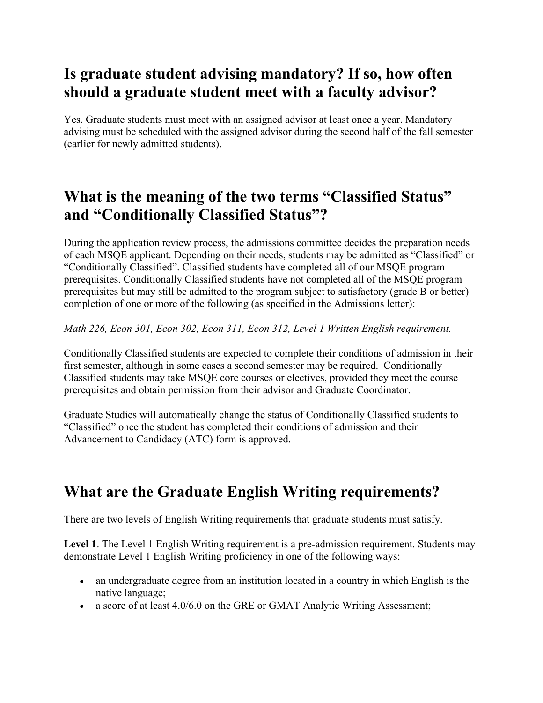## **Is graduate student advising mandatory? If so, how often should a graduate student meet with a faculty advisor?**

Yes. Graduate students must meet with an assigned advisor at least once a year. Mandatory advising must be scheduled with the assigned advisor during the second half of the fall semester (earlier for newly admitted students).

## **What is the meaning of the two terms "Classified Status" and "Conditionally Classified Status"?**

During the application review process, the admissions committee decides the preparation needs of each MSQE applicant. Depending on their needs, students may be admitted as "Classified" or "Conditionally Classified". Classified students have completed all of our MSQE program prerequisites. Conditionally Classified students have not completed all of the MSQE program prerequisites but may still be admitted to the program subject to satisfactory (grade B or better) completion of one or more of the following (as specified in the Admissions letter):

*Math 226, Econ 301, Econ 302, Econ 311, Econ 312, Level 1 Written English requirement.*

Conditionally Classified students are expected to complete their conditions of admission in their first semester, although in some cases a second semester may be required. Conditionally Classified students may take MSQE core courses or electives, provided they meet the course prerequisites and obtain permission from their advisor and Graduate Coordinator.

Graduate Studies will automatically change the status of Conditionally Classified students to "Classified" once the student has completed their conditions of admission and their Advancement to Candidacy (ATC) form is approved.

# **What are the Graduate English Writing requirements?**

There are two levels of English Writing requirements that graduate students must satisfy.

**Level 1**. The Level 1 English Writing requirement is a pre-admission requirement. Students may demonstrate Level 1 English Writing proficiency in one of the following ways:

- an undergraduate degree from an institution located in a country in which English is the native language;
- a score of at least 4.0/6.0 on the GRE or GMAT Analytic Writing Assessment;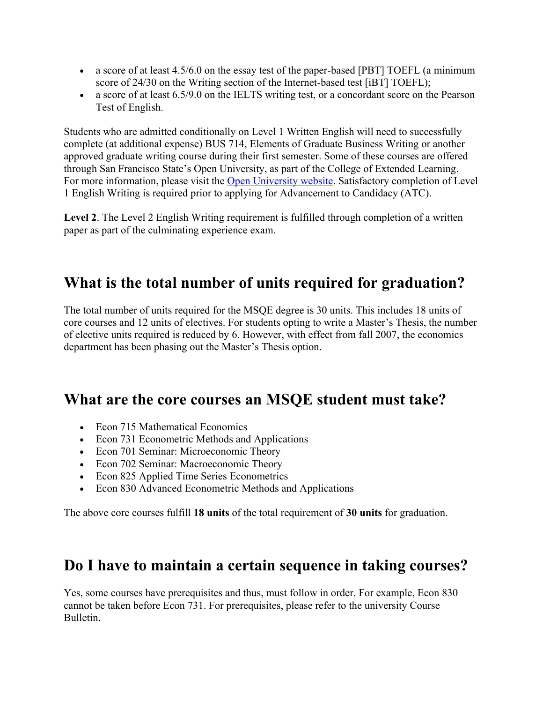- a score of at least 4.5/6.0 on the essay test of the paper-based [PBT] TOEFL (a minimum score of 24/30 on the Writing section of the Internet-based test [iBT] TOEFL);
- a score of at least 6.5/9.0 on the IELTS writing test, or a concordant score on the Pearson Test of English.

Students who are admitted conditionally on Level 1 Written English will need to successfully complete (at additional expense) BUS 714, Elements of Graduate Business Writing or another approved graduate writing course during their first semester. Some of these courses are offered through San Francisco State's Open University, as part of the College of Extended Learning. For more information, please visit the [Open University website.](http://www.cel.sfsu.edu/openuniversity/) Satisfactory completion of Level 1 English Writing is required prior to applying for Advancement to Candidacy (ATC).

**Level 2**. The Level 2 English Writing requirement is fulfilled through completion of a written paper as part of the culminating experience exam.

#### **What is the total number of units required for graduation?**

The total number of units required for the MSQE degree is 30 units. This includes 18 units of core courses and 12 units of electives. For students opting to write a Master's Thesis, the number of elective units required is reduced by 6. However, with effect from fall 2007, the economics department has been phasing out the Master's Thesis option.

#### **What are the core courses an MSQE student must take?**

- Econ 715 Mathematical Economics
- Econ 731 Econometric Methods and Applications
- Econ 701 Seminar: Microeconomic Theory
- Econ 702 Seminar: Macroeconomic Theory
- Econ 825 Applied Time Series Econometrics
- Econ 830 Advanced Econometric Methods and Applications

The above core courses fulfill **18 units** of the total requirement of **30 units** for graduation.

#### **Do I have to maintain a certain sequence in taking courses?**

Yes, some courses have prerequisites and thus, must follow in order. For example, Econ 830 cannot be taken before Econ 731. For prerequisites, please refer to the university Course Bulletin.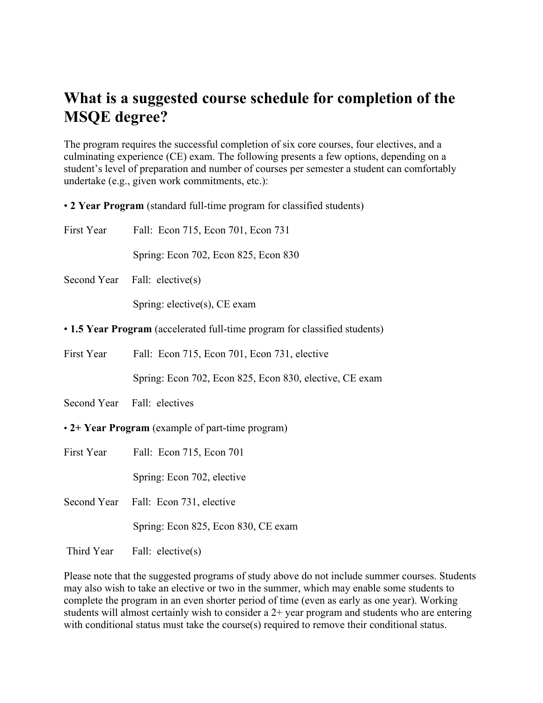#### **What is a suggested course schedule for completion of the MSQE degree?**

The program requires the successful completion of six core courses, four electives, and a culminating experience (CE) exam. The following presents a few options, depending on a student's level of preparation and number of courses per semester a student can comfortably undertake (e.g., given work commitments, etc.):

• **2 Year Program** (standard full-time program for classified students)

|                                                                            | First Year Fall: Econ 715, Econ 701, Econ 731           |
|----------------------------------------------------------------------------|---------------------------------------------------------|
|                                                                            | Spring: Econ 702, Econ 825, Econ 830                    |
|                                                                            | Second Year Fall: elective(s)                           |
|                                                                            | Spring: elective $(s)$ , CE exam                        |
| • 1.5 Year Program (accelerated full-time program for classified students) |                                                         |
| First Year                                                                 | Fall: Econ 715, Econ 701, Econ 731, elective            |
|                                                                            | Spring: Econ 702, Econ 825, Econ 830, elective, CE exam |
|                                                                            | Second Year Fall: electives                             |
| • 2+ Year Program (example of part-time program)                           |                                                         |
|                                                                            | First Year Fall: Econ 715, Econ 701                     |
|                                                                            | Spring: Econ 702, elective                              |
|                                                                            | Second Year Fall: Econ 731, elective                    |
|                                                                            | Spring: Econ 825, Econ 830, CE exam                     |

Third Year Fall: elective(s)

Please note that the suggested programs of study above do not include summer courses. Students may also wish to take an elective or two in the summer, which may enable some students to complete the program in an even shorter period of time (even as early as one year). Working students will almost certainly wish to consider a 2+ year program and students who are entering with conditional status must take the course(s) required to remove their conditional status.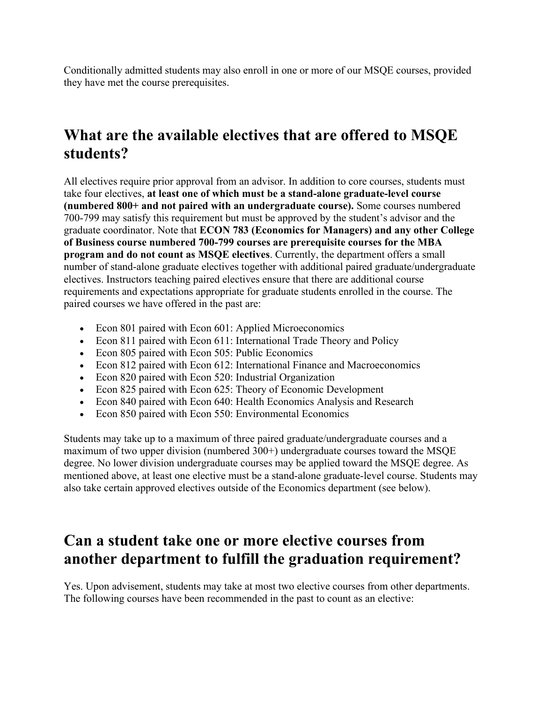Conditionally admitted students may also enroll in one or more of our MSQE courses, provided they have met the course prerequisites.

## **What are the available electives that are offered to MSQE students?**

All electives require prior approval from an advisor. In addition to core courses, students must take four electives, **at least one of which must be a stand-alone graduate-level course (numbered 800+ and not paired with an undergraduate course).** Some courses numbered 700-799 may satisfy this requirement but must be approved by the student's advisor and the graduate coordinator. Note that **ECON 783 (Economics for Managers) and any other College of Business course numbered 700-799 courses are prerequisite courses for the MBA program and do not count as MSQE electives**. Currently, the department offers a small number of stand-alone graduate electives together with additional paired graduate/undergraduate electives. Instructors teaching paired electives ensure that there are additional course requirements and expectations appropriate for graduate students enrolled in the course. The paired courses we have offered in the past are:

- Econ 801 paired with Econ 601: Applied Microeconomics
- Econ 811 paired with Econ 611: International Trade Theory and Policy
- Econ 805 paired with Econ 505: Public Economics
- Econ 812 paired with Econ 612: International Finance and Macroeconomics
- Econ 820 paired with Econ 520: Industrial Organization
- Econ 825 paired with Econ 625: Theory of Economic Development
- Econ 840 paired with Econ 640: Health Economics Analysis and Research
- Econ 850 paired with Econ 550: Environmental Economics

Students may take up to a maximum of three paired graduate/undergraduate courses and a maximum of two upper division (numbered 300+) undergraduate courses toward the MSQE degree. No lower division undergraduate courses may be applied toward the MSQE degree. As mentioned above, at least one elective must be a stand-alone graduate-level course. Students may also take certain approved electives outside of the Economics department (see below).

#### **Can a student take one or more elective courses from another department to fulfill the graduation requirement?**

Yes. Upon advisement, students may take at most two elective courses from other departments. The following courses have been recommended in the past to count as an elective: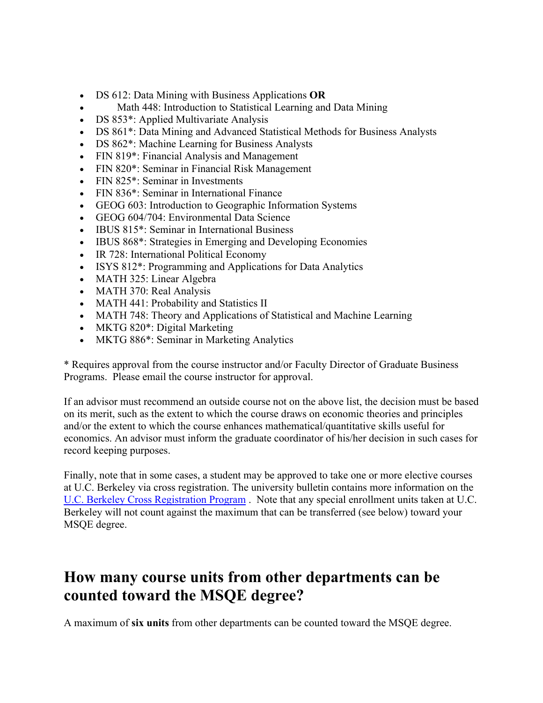- DS 612: Data Mining with Business Applications **OR**
- Math 448: Introduction to Statistical Learning and Data Mining
- DS 853<sup>\*</sup>: Applied Multivariate Analysis
- DS 861\*: Data Mining and Advanced Statistical Methods for Business Analysts
- DS 862\*: Machine Learning for Business Analysts
- FIN 819\*: Financial Analysis and Management
- FIN 820\*: Seminar in Financial Risk Management
- FIN 825<sup>\*</sup>: Seminar in Investments
- FIN 836<sup>\*</sup>: Seminar in International Finance
- GEOG 603: Introduction to Geographic Information Systems
- GEOG 604/704: Environmental Data Science
- IBUS 815<sup>\*</sup>: Seminar in International Business
- IBUS 868\*: Strategies in Emerging and Developing Economies
- IR 728: International Political Economy
- ISYS 812<sup>\*</sup>: Programming and Applications for Data Analytics
- MATH 325: Linear Algebra
- MATH 370: Real Analysis
- MATH 441: Probability and Statistics II
- MATH 748: Theory and Applications of Statistical and Machine Learning
- MKTG 820<sup>\*</sup>: Digital Marketing
- MKTG 886\*: Seminar in Marketing Analytics

\* Requires approval from the course instructor and/or Faculty Director of Graduate Business Programs. Please email the course instructor for approval.

If an advisor must recommend an outside course not on the above list, the decision must be based on its merit, such as the extent to which the course draws on economic theories and principles and/or the extent to which the course enhances mathematical/quantitative skills useful for economics. An advisor must inform the graduate coordinator of his/her decision in such cases for record keeping purposes.

Finally, note that in some cases, a student may be approved to take one or more elective courses at U.C. Berkeley via cross registration. The university bulletin contains more information on the [U.C. Berkeley Cross Registration Program](http://bulletin.sfsu.edu/resources/special-enrollment-programs/cross-registration/) . Note that any special enrollment units taken at U.C. Berkeley will not count against the maximum that can be transferred (see below) toward your MSQE degree.

## **How many course units from other departments can be counted toward the MSQE degree?**

A maximum of **six units** from other departments can be counted toward the MSQE degree.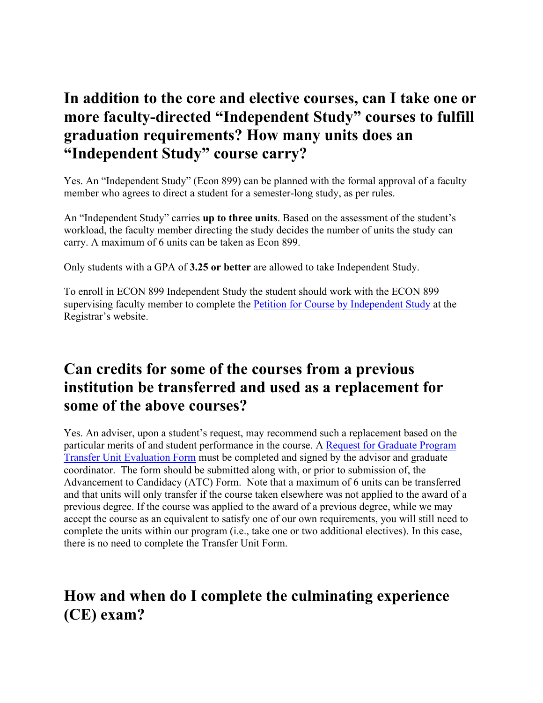#### **In addition to the core and elective courses, can I take one or more faculty-directed "Independent Study" courses to fulfill graduation requirements? How many units does an "Independent Study" course carry?**

Yes. An "Independent Study" (Econ 899) can be planned with the formal approval of a faculty member who agrees to direct a student for a semester-long study, as per rules.

An "Independent Study" carries **up to three units**. Based on the assessment of the student's workload, the faculty member directing the study decides the number of units the study can carry. A maximum of 6 units can be taken as Econ 899.

Only students with a GPA of **3.25 or better** are allowed to take Independent Study.

To enroll in ECON 899 Independent Study the student should work with the ECON 899 supervising faculty member to complete the [Petition for Course by Independent Study](https://registrar.sfsu.edu/sites/default/files/documents/indstudyi.pdf) at the Registrar's website.

#### **Can credits for some of the courses from a previous institution be transferred and used as a replacement for some of the above courses?**

Yes. An adviser, upon a student's request, may recommend such a replacement based on the particular merits of and student performance in the course. A [Request for Graduate Program](https://grad.sfsu.edu/sites/default/files/documents/transfer-unit-evaluation.pdf)  [Transfer Unit Evaluation Form](https://grad.sfsu.edu/sites/default/files/documents/transfer-unit-evaluation.pdf) must be completed and signed by the advisor and graduate coordinator. The form should be submitted along with, or prior to submission of, the Advancement to Candidacy (ATC) Form. Note that a maximum of 6 units can be transferred and that units will only transfer if the course taken elsewhere was not applied to the award of a previous degree. If the course was applied to the award of a previous degree, while we may accept the course as an equivalent to satisfy one of our own requirements, you will still need to complete the units within our program (i.e., take one or two additional electives). In this case, there is no need to complete the Transfer Unit Form.

## **How and when do I complete the culminating experience (CE) exam?**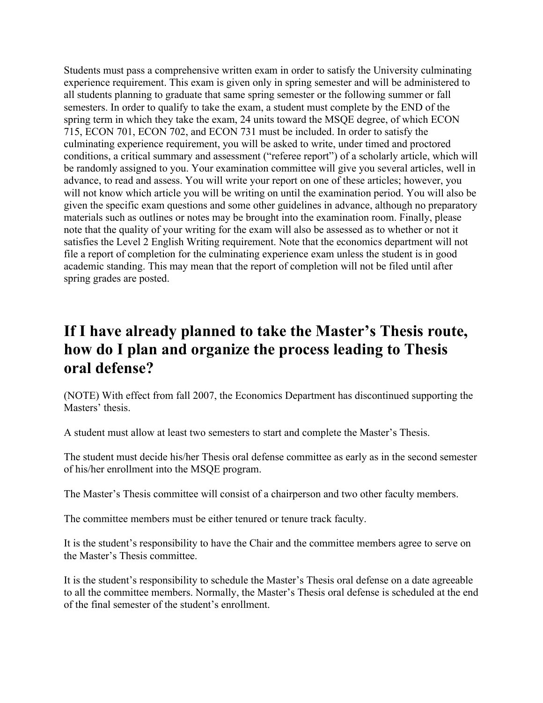Students must pass a comprehensive written exam in order to satisfy the University culminating experience requirement. This exam is given only in spring semester and will be administered to all students planning to graduate that same spring semester or the following summer or fall semesters. In order to qualify to take the exam, a student must complete by the END of the spring term in which they take the exam, 24 units toward the MSQE degree, of which ECON 715, ECON 701, ECON 702, and ECON 731 must be included. In order to satisfy the culminating experience requirement, you will be asked to write, under timed and proctored conditions, a critical summary and assessment ("referee report") of a scholarly article, which will be randomly assigned to you. Your examination committee will give you several articles, well in advance, to read and assess. You will write your report on one of these articles; however, you will not know which article you will be writing on until the examination period. You will also be given the specific exam questions and some other guidelines in advance, although no preparatory materials such as outlines or notes may be brought into the examination room. Finally, please note that the quality of your writing for the exam will also be assessed as to whether or not it satisfies the Level 2 English Writing requirement. Note that the economics department will not file a report of completion for the culminating experience exam unless the student is in good academic standing. This may mean that the report of completion will not be filed until after spring grades are posted.

#### **If I have already planned to take the Master's Thesis route, how do I plan and organize the process leading to Thesis oral defense?**

(NOTE) With effect from fall 2007, the Economics Department has discontinued supporting the Masters' thesis.

A student must allow at least two semesters to start and complete the Master's Thesis.

The student must decide his/her Thesis oral defense committee as early as in the second semester of his/her enrollment into the MSQE program.

The Master's Thesis committee will consist of a chairperson and two other faculty members.

The committee members must be either tenured or tenure track faculty.

It is the student's responsibility to have the Chair and the committee members agree to serve on the Master's Thesis committee.

It is the student's responsibility to schedule the Master's Thesis oral defense on a date agreeable to all the committee members. Normally, the Master's Thesis oral defense is scheduled at the end of the final semester of the student's enrollment.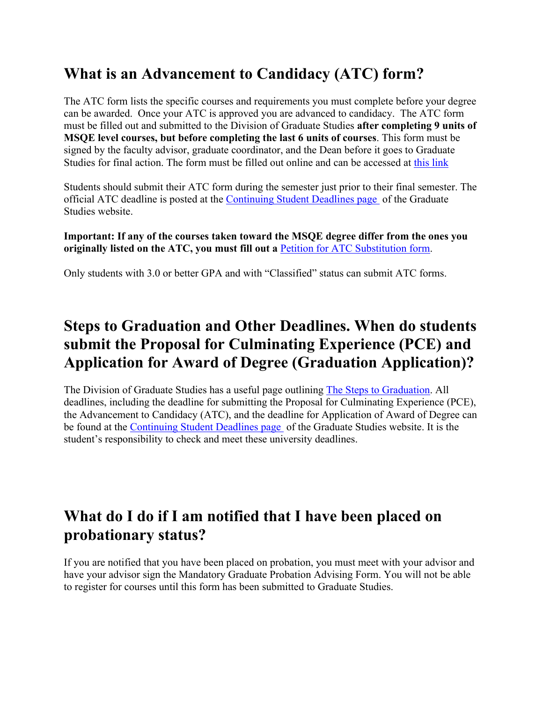# **What is an Advancement to Candidacy (ATC) form?**

The ATC form lists the specific courses and requirements you must complete before your degree can be awarded. Once your ATC is approved you are advanced to candidacy. The ATC form must be filled out and submitted to the Division of Graduate Studies **after completing 9 units of MSQE level courses, but before completing the last 6 units of courses**. This form must be signed by the faculty advisor, graduate coordinator, and the Dean before it goes to Graduate Studies for final action. The form must be filled out online and can be accessed at [this link](https://grad.sfsu.edu/content/advancement-to-candidacy)

Students should submit their ATC form during the semester just prior to their final semester. The official ATC deadline is posted at the [Continuing Student Deadlines page](https://grad.sfsu.edu/content/continuing-student-deadlines) of the Graduate Studies website.

**Important: If any of the courses taken toward the MSQE degree differ from the ones you originally listed on the ATC, you must fill out a** [Petition for ATC Substitution form.](https://grad.sfsu.edu/content/advancement-candidacy-substitution-submission)

Only students with 3.0 or better GPA and with "Classified" status can submit ATC forms.

#### **Steps to Graduation and Other Deadlines. When do students submit the Proposal for Culminating Experience (PCE) and Application for Award of Degree (Graduation Application)?**

The Division of Graduate Studies has a useful page outlining [The Steps to Graduation.](http://grad.sfsu.edu/content/continuing-students) All deadlines, including the deadline for submitting the Proposal for Culminating Experience (PCE), the Advancement to Candidacy (ATC), and the deadline for Application of Award of Degree can be found at the [Continuing Student Deadlines page](http://grad.sfsu.edu/content/continuing-student-deadlines) of the Graduate Studies website. It is the student's responsibility to check and meet these university deadlines.

#### **What do I do if I am notified that I have been placed on probationary status?**

If you are notified that you have been placed on probation, you must meet with your advisor and have your advisor sign the Mandatory Graduate Probation Advising Form. You will not be able to register for courses until this form has been submitted to Graduate Studies.